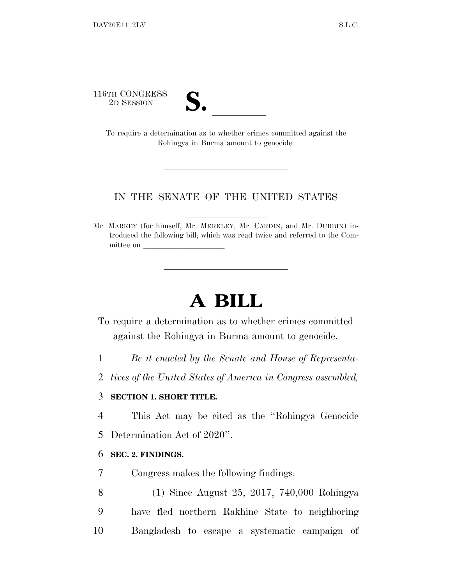116TH CONGRESS

TH CONGRESS<br>
2D SESSION<br>
To require a determination as to whether crimes committed against the Rohingya in Burma amount to genocide.

## IN THE SENATE OF THE UNITED STATES

Mr. MARKEY (for himself, Mr. MERKLEY, Mr. CARDIN, and Mr. DURBIN) introduced the following bill; which was read twice and referred to the Committee on

# **A BILL**

- To require a determination as to whether crimes committed against the Rohingya in Burma amount to genocide.
- 1 *Be it enacted by the Senate and House of Representa-*
- 2 *tives of the United States of America in Congress assembled,*

## 3 **SECTION 1. SHORT TITLE.**

- 4 This Act may be cited as the ''Rohingya Genocide
- 5 Determination Act of 2020''.

# 6 **SEC. 2. FINDINGS.**

- 7 Congress makes the following findings:
- 8 (1) Since August 25, 2017, 740,000 Rohingya 9 have fled northern Rakhine State to neighboring 10 Bangladesh to escape a systematic campaign of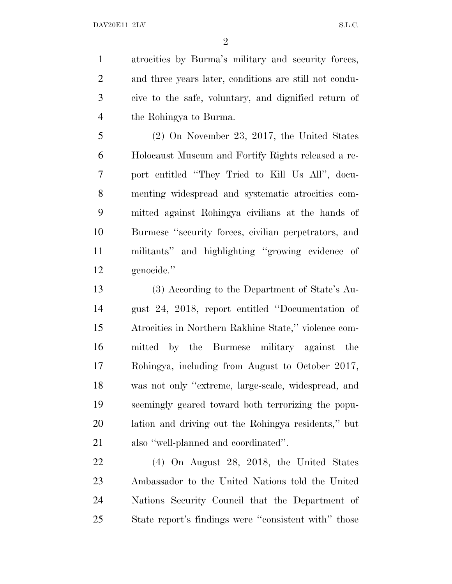atrocities by Burma's military and security forces, and three years later, conditions are still not condu- cive to the safe, voluntary, and dignified return of the Rohingya to Burma.

 (2) On November 23, 2017, the United States Holocaust Museum and Fortify Rights released a re- port entitled ''They Tried to Kill Us All'', docu- menting widespread and systematic atrocities com- mitted against Rohingya civilians at the hands of Burmese ''security forces, civilian perpetrators, and militants'' and highlighting ''growing evidence of genocide.''

 (3) According to the Department of State's Au- gust 24, 2018, report entitled ''Documentation of Atrocities in Northern Rakhine State,'' violence com- mitted by the Burmese military against the Rohingya, including from August to October 2017, was not only ''extreme, large-scale, widespread, and seemingly geared toward both terrorizing the popu- lation and driving out the Rohingya residents,'' but also ''well-planned and coordinated''.

 (4) On August 28, 2018, the United States Ambassador to the United Nations told the United Nations Security Council that the Department of State report's findings were ''consistent with'' those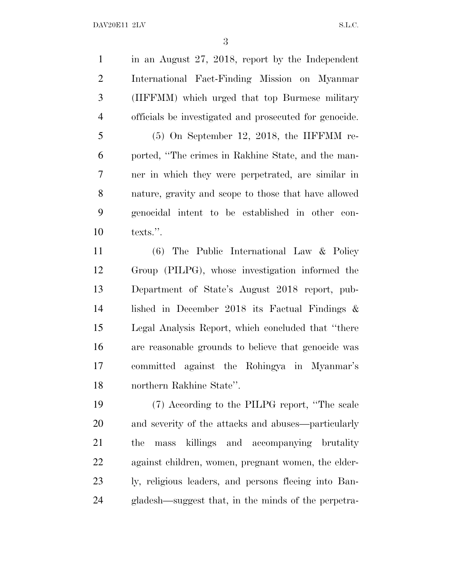in an August 27, 2018, report by the Independent International Fact-Finding Mission on Myanmar (IIFFMM) which urged that top Burmese military officials be investigated and prosecuted for genocide. (5) On September 12, 2018, the IIFFMM re- ported, ''The crimes in Rakhine State, and the man- ner in which they were perpetrated, are similar in nature, gravity and scope to those that have allowed genocidal intent to be established in other con-

 texts.''. (6) The Public International Law & Policy

 Group (PILPG), whose investigation informed the Department of State's August 2018 report, pub- lished in December 2018 its Factual Findings & Legal Analysis Report, which concluded that ''there are reasonable grounds to believe that genocide was committed against the Rohingya in Myanmar's northern Rakhine State''.

 (7) According to the PILPG report, ''The scale and severity of the attacks and abuses—particularly the mass killings and accompanying brutality against children, women, pregnant women, the elder- ly, religious leaders, and persons fleeing into Ban-gladesh—suggest that, in the minds of the perpetra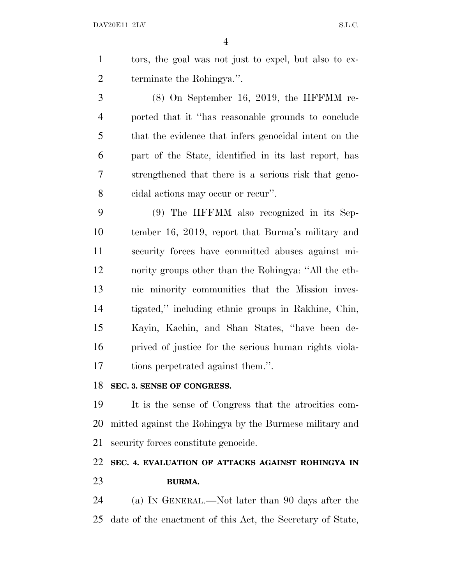tors, the goal was not just to expel, but also to ex-terminate the Rohingya.''.

 (8) On September 16, 2019, the IIFFMM re- ported that it ''has reasonable grounds to conclude that the evidence that infers genocidal intent on the part of the State, identified in its last report, has strengthened that there is a serious risk that geno-cidal actions may occur or recur''.

 (9) The IIFFMM also recognized in its Sep- tember 16, 2019, report that Burma's military and security forces have committed abuses against mi- nority groups other than the Rohingya: ''All the eth- nic minority communities that the Mission inves- tigated,'' including ethnic groups in Rakhine, Chin, Kayin, Kachin, and Shan States, ''have been de- prived of justice for the serious human rights viola-tions perpetrated against them.''.

## **SEC. 3. SENSE OF CONGRESS.**

 It is the sense of Congress that the atrocities com- mitted against the Rohingya by the Burmese military and security forces constitute genocide.

# **SEC. 4. EVALUATION OF ATTACKS AGAINST ROHINGYA IN BURMA.**

 (a) I<sup>N</sup> GENERAL.—Not later than 90 days after the date of the enactment of this Act, the Secretary of State,